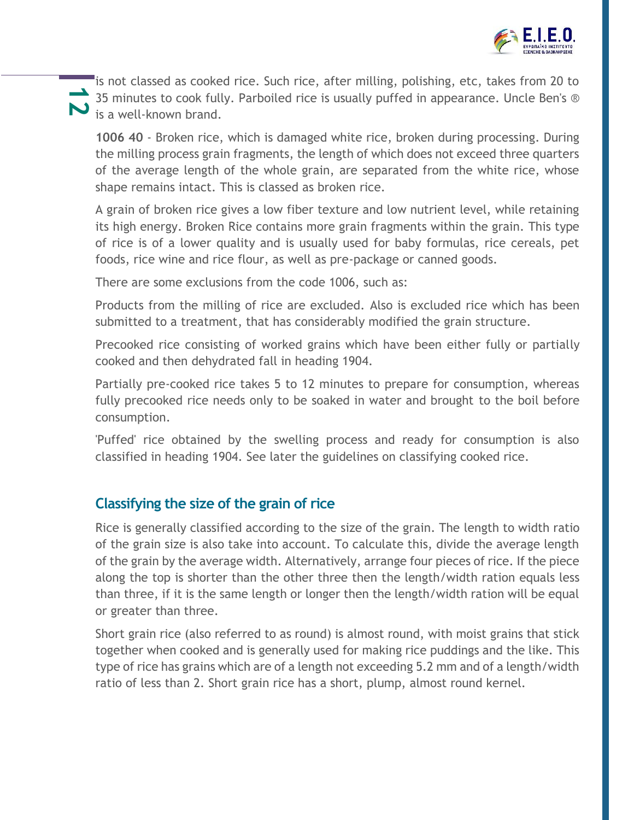

35 minutes to cook full<br>**12** is a well-known brand. is not classed as cooked rice. Such rice, after milling, polishing, etc, takes from 20 to 35 minutes to cook fully. Parboiled rice is usually puffed in appearance. Uncle Ben's ®

**1006 40** - Broken rice, which is damaged white rice, broken during processing. During the milling process grain fragments, the length of which does not exceed three quarters of the average length of the whole grain, are separated from the white rice, whose shape remains intact. This is classed as broken rice.

A grain of broken rice gives a low fiber texture and low nutrient level, while retaining its high energy. Broken Rice contains more grain fragments within the grain. This type of rice is of a lower quality and is usually used for baby formulas, rice cereals, pet foods, rice wine and rice flour, as well as pre-package or canned goods.

There are some exclusions from the code 1006, such as:

Products from the milling of rice are excluded. Also is excluded rice which has been submitted to a treatment, that has considerably modified the grain structure.

Precooked rice consisting of worked grains which have been either fully or partially cooked and then dehydrated fall in heading 1904.

Partially pre-cooked rice takes 5 to 12 minutes to prepare for consumption, whereas fully precooked rice needs only to be soaked in water and brought to the boil before consumption.

'Puffed' rice obtained by the swelling process and ready for consumption is also classified in heading 1904. See later the guidelines on classifying cooked rice.

### **Classifying the size of the grain of rice**

Rice is generally classified according to the size of the grain. The length to width ratio of the grain size is also take into account. To calculate this, divide the average length of the grain by the average width. Alternatively, arrange four pieces of rice. If the piece along the top is shorter than the other three then the length/width ration equals less than three, if it is the same length or longer then the length/width ration will be equal or greater than three.

Short grain rice (also referred to as round) is almost round, with moist grains that stick together when cooked and is generally used for making rice puddings and the like. This type of rice has grains which are of a length not exceeding 5.2 mm and of a length/width ratio of less than 2. Short grain rice has a short, plump, almost round kernel.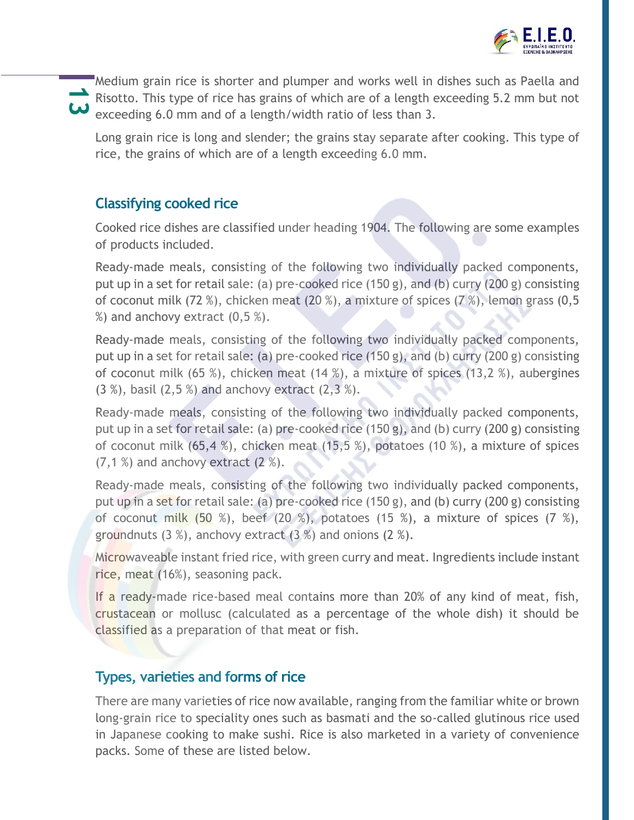

Risotto. This type of rice has grains of which are of a length exceeding 5.2 mm but not Medium grain rice is shorter and plumper and works well in dishes such as Paella and exceeding 6.0 mm and of a length/width ratio of less than 3.

Long grain rice is long and slender; the grains stay separate after cooking. This type of rice, the grains of which are of a length exceeding 6.0 mm.

## **Classifying cooked rice**

Cooked rice dishes are classified under heading 1904. The following are some examples of products included.

Ready-made meals, consisting of the following two individually packed components, put up in a set for retail sale: (a) pre-cooked rice (150 g), and (b) curry (200 g) consisting of coconut milk (72 %), chicken meat (20 %), a mixture of spices (7 %), lemon grass (0,5  $%$ ) and anchovy extract  $(0,5,%)$ .

Ready-made meals, consisting of the following two individually packed components, put up in a set for retail sale: (a) pre-cooked rice (150 g), and (b) curry (200 g) consisting of coconut milk (65 %), chicken meat (14 %), a mixture of spices (13,2 %), aubergines (3 %), basil (2,5 %) and anchovy extract (2,3 %).

Ready-made meals, consisting of the following two individually packed components, put up in a set for retail sale: (a) pre-cooked rice (150 g), and (b) curry (200 g) consisting of coconut milk (65,4 %), chicken meat (15,5 %), potatoes (10 %), a mixture of spices  $(7,1\%)$  and anchovy extract  $(2\%)$ .

Ready-made meals, consisting of the following two individually packed components, put up in a set for retail sale: (a) pre-cooked rice (150 g), and (b) curry (200 g) consisting of coconut milk (50 %), beef (20 %), potatoes (15 %), a mixture of spices (7 %), groundnuts  $(3 \%)$ , anchovy extract  $(3 \%)$  and onions  $(2 \%)$ .

Microwaveable instant fried rice, with green curry and meat. Ingredients include instant rice, meat (16%), seasoning pack.

If a ready-made rice-based meal contains more than 20% of any kind of meat, fish, crustacean or mollusc (calculated as a percentage of the whole dish) it should be classified as a preparation of that meat or fish.

#### **Types, varieties and forms of rice**

There are many varieties of rice now available, ranging from the familiar white or brown long-grain rice to speciality ones such as basmati and the so-called glutinous rice used in Japanese cooking to make sushi. Rice is also marketed in a variety of convenience packs. Some of these are listed below.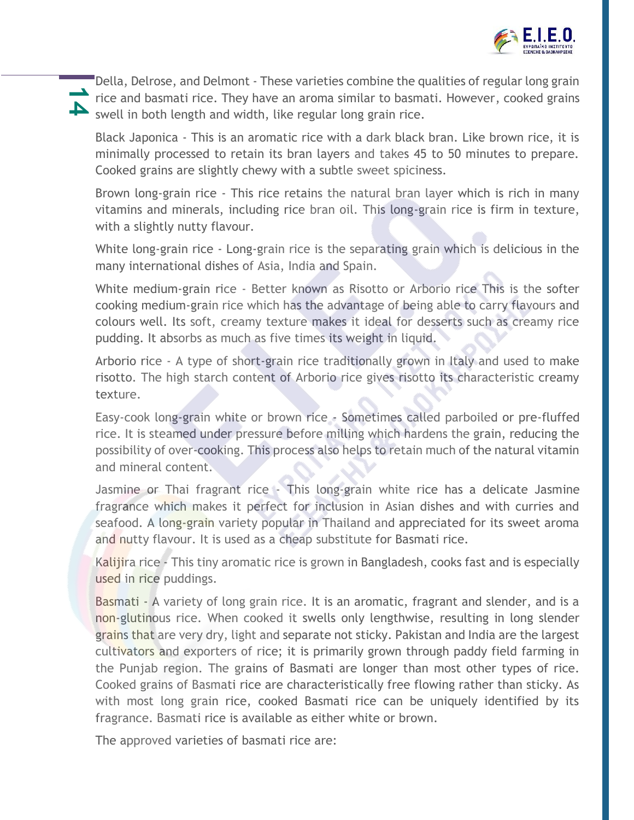

rice and basmati rice. They have an aroma similar to basmati. However, cooked grains<br>
swell in both length and width, like regular long grain rice Della, Delrose, and Delmont - These varieties combine the qualities of regular long grain swell in both length and width, like regular long grain rice.

Black Japonica - This is an aromatic rice with a dark black bran. Like brown rice, it is minimally processed to retain its bran layers and takes 45 to 50 minutes to prepare. Cooked grains are slightly chewy with a subtle sweet spiciness.

Brown long-grain rice - This rice retains the natural bran layer which is rich in many vitamins and minerals, including rice bran oil. This long-grain rice is firm in texture, with a slightly nutty flavour.

White long-grain rice - Long-grain rice is the separating grain which is delicious in the many international dishes of Asia, India and Spain.

White medium-grain rice - Better known as Risotto or Arborio rice This is the softer cooking medium-grain rice which has the advantage of being able to carry flavours and colours well. Its soft, creamy texture makes it ideal for desserts such as creamy rice pudding. It absorbs as much as five times its weight in liquid.

Arborio rice - A type of short-grain rice traditionally grown in Italy and used to make risotto. The high starch content of Arborio rice gives risotto its characteristic creamy texture.

Easy-cook long-grain white or brown rice - Sometimes called parboiled or pre-fluffed rice. It is steamed under pressure before milling which hardens the grain, reducing the possibility of over-cooking. This process also helps to retain much of the natural vitamin and mineral content.

Jasmine or Thai fragrant rice - This long-grain white rice has a delicate Jasmine fragrance which makes it perfect for inclusion in Asian dishes and with curries and seafood. A long-grain variety popular in Thailand and appreciated for its sweet aroma and nutty flavour. It is used as a cheap substitute for Basmati rice.

Kalijira rice - This tiny aromatic rice is grown in Bangladesh, cooks fast and is especially used in rice puddings.

Basmati - A variety of long grain rice. It is an aromatic, fragrant and slender, and is a non-glutinous rice. When cooked it swells only lengthwise, resulting in long slender grains that are very dry, light and separate not sticky. Pakistan and India are the largest cultivators and exporters of rice; it is primarily grown through paddy field farming in the Punjab region. The grains of Basmati are longer than most other types of rice. Cooked grains of Basmati rice are characteristically free flowing rather than sticky. As with most long grain rice, cooked Basmati rice can be uniquely identified by its fragrance. Basmati rice is available as either white or brown.

The approved varieties of basmati rice are: